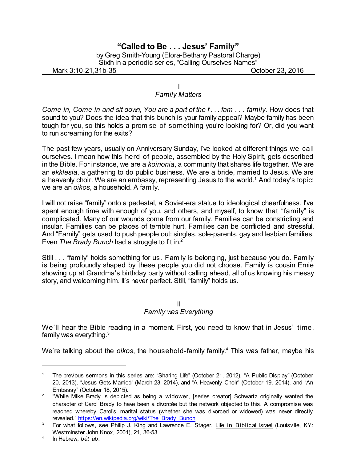# **"Called to Be . . . Jesus' Family"**

by Greg Smith-Young (Elora-Bethany Pastoral Charge) Sixth in a periodic series, "Calling Ourselves Names"

Mark 3:10-21,31b-35 October 23, 2016

### I *Family Matters*

*Come in, Come in and sit down, You are a part of the f . . . fam . . . family.* How does that sound to you? Does the idea that this bunch is your family appeal? Maybe family has been tough for you, so this holds a promise of something you're looking for? Or, did you want to run screaming for the exits?

The past few years, usually on Anniversary Sunday, I've looked at different things we call ourselves. I mean how this herd of people, assembled by the Holy Spirit, gets described in the Bible. For instance, we are a *koinonia*, a community that shares life together. We are an *ekklesia*, a gathering to do public business. We are a bride, married to Jesus. We are a heavenly choir. We are an embassy, representing Jesus to the world.<sup>1</sup> And today's topic: we are an *oikos*, a household. A family.

I will not raise "family" onto a pedestal, a Soviet-era statue to ideological cheerfulness. I've spent enough time with enough of you, and others, and myself, to know that "family" is complicated. Many of our wounds come from our family. Families can be constricting and insular. Families can be places of terrible hurt. Families can be conflicted and stressful. And "Family" gets used to push people out: singles, sole-parents, gay and lesbian families. Even *The Brady Bunch* had a struggle to fit in. 2

Still . . . "family" holds something for us. Family is belonging, just because you do. Family is being profoundly shaped by these people you did not choose. Family is cousin Ernie showing up at Grandma's birthday party without calling ahead, all of us knowing his messy story, and welcoming him. It's never perfect. Still, "family" holds us.

#### II *Family was Everything*

We'll hear the Bible reading in a moment. First, you need to know that in Jesus' time, family was everything.<sup>3</sup>

We're talking about the *oikos*, the household-family family. <sup>4</sup> This was father, maybe his

<sup>1</sup> The previous sermons in this series are: "Sharing Life" (October 21, 2012), "A Public Display" (October 20, 2013), "Jesus Gets Married" (March 23, 2014), and "A Heavenly Choir" (October 19, 2014), and "An Embassy" (October 18, 2015).

 $2$  "While Mike Brady is depicted as being a widower, [series creator] Schwartz originally wanted the character of Carol Brady to have been a divorcée but the network objected to this. A compromise was reached whereby Carol's marital status (whether she was divorced or widowed) was never directly revealed." [https://en.wikipedia.org/wiki/The\\_Brady\\_Bunch](https://en.wikipedia.org/wiki/The_Brady_Bunch)

<sup>&</sup>lt;sup>3</sup> For what follows, see Philip J. King and Lawrence E. Stager, Life in Biblical Israel (Louisville, KY: Westminster John Knox, 2001), 21, 36-53.

<sup>4</sup> In Hebrew, *bêt 'âb*.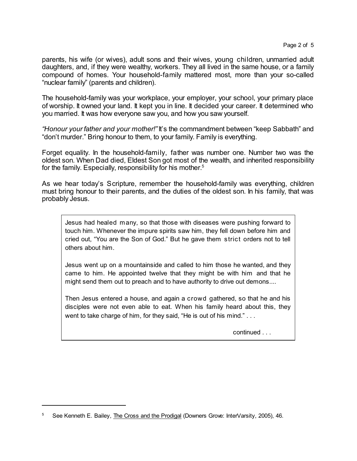parents, his wife (or wives), adult sons and their wives, young children, unmarried adult daughters, and, if they were wealthy, workers. They all lived in the same house, or a family compound of homes. Your household-family mattered most, more than your so-called "nuclear family" (parents and children).

The household-family was your workplace, your employer, your school, your primary place of worship. It owned your land. It kept you in line. It decided your career. It determined who you married. It was how everyone saw you, and how you saw yourself.

*"Honour your father and your mother!"* It's the commandment between "keep Sabbath" and "don't murder." Bring honour to them, to your family. Family is everything.

Forget equality. In the household-family, father was number one. Number two was the oldest son. When Dad died, Eldest Son got most of the wealth, and inherited responsibility for the family. Especially, responsibility for his mother. 5

As we hear today's Scripture, remember the household-family was everything, children must bring honour to their parents, and the duties of the oldest son. In his family, that was probably Jesus.

Jesus had healed many, so that those with diseases were pushing forward to touch him. Whenever the impure spirits saw him, they fell down before him and cried out, "You are the Son of God." But he gave them strict orders not to tell others about him.

Jesus went up on a mountainside and called to him those he wanted, and they came to him. He appointed twelve that they might be with him and that he might send them out to preach and to have authority to drive out demons....

Then Jesus entered a house, and again a crowd gathered, so that he and his disciples were not even able to eat. When his family heard about this, they went to take charge of him, for they said, "He is out of his mind." . . .

continued . . .

<sup>&</sup>lt;sup>5</sup> See Kenneth E. Bailey, The Cross and the Prodigal (Downers Grove: InterVarsity, 2005), 46.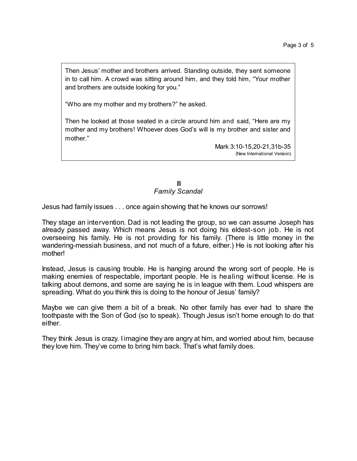Then Jesus' mother and brothers arrived. Standing outside, they sent someone in to call him. A crowd was sitting around him, and they told him, "Your mother and brothers are outside looking for you."

"Who are my mother and my brothers?" he asked.

Then he looked at those seated in a circle around him and said, "Here are my mother and my brothers! Whoever does God's will is my brother and sister and mother."

> Mark 3:10-15,20-21,31b-35 (New International Version)

## III *Family Scandal*

Jesus had family issues . . . once again showing that he knows our sorrows!

They stage an intervention. Dad is not leading the group, so we can assume Joseph has already passed away. Which means Jesus is not doing his eldest-son job. He is not overseeing his family. He is not providing for his family. (There is little money in the wandering-messiah business, and not much of a future, either.) He is not looking after his mother!

Instead, Jesus is causing trouble. He is hanging around the wrong sort of people. He is making enemies of respectable, important people. He is healing without license. He is talking about demons, and some are saying he is in league with them. Loud whispers are spreading. What do you think this is doing to the honour of Jesus' family?

Maybe we can give them a bit of a break. No other family has ever had to share the toothpaste with the Son of God (so to speak). Though Jesus isn't home enough to do that either.

They think Jesus is crazy. I imagine they are angry at him, and worried about him, because they love him. They've come to bring him back. That's what family does.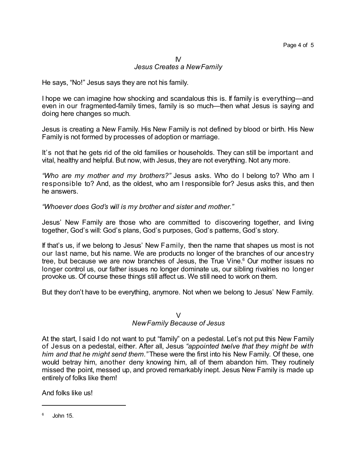## IV *Jesus Creates a NewFamily*

He says, "No!" Jesus says they are not his family.

I hope we can imagine how shocking and scandalous this is. If family is everything—and even in our fragmented-family times, family is so much—then what Jesus is saying and doing here changes so much.

Jesus is creating a New Family. His New Family is not defined by blood or birth. His New Family is not formed by processes of adoption or marriage.

It's not that he gets rid of the old families or households. They can still be important and vital, healthy and helpful. But now, with Jesus, they are not everything. Not any more.

*"Who are my mother and my brothers?"* Jesus asks. Who do I belong to? Who am I responsible to? And, as the oldest, who am I responsible for? Jesus asks this, and then he answers.

*"Whoever does God's will is my brother and sister and mother."*

Jesus' New Family are those who are committed to discovering together, and living together, God's will: God's plans, God's purposes, God's patterns, God's story.

If that's us, if we belong to Jesus' New Family, then the name that shapes us most is not our last name, but his name. We are products no longer of the branches of our ancestry tree, but because we are now branches of Jesus, the True Vine.<sup>6</sup> Our mother issues no longer control us, our father issues no longer dominate us, our sibling rivalries no longer provoke us. Of course these things still affect us. We still need to work on them.

But they don't have to be everything, anymore. Not when we belong to Jesus' New Family.

#### V

## *NewFamily Because of Jesus*

At the start, I said I do not want to put "family" on a pedestal. Let's not put this New Family of Jesus on a pedestal, either. After all, Jesus *"appointed twelve that they might be with him and that he might send them."* These were the first into his New Family. Of these, one would betray him, another deny knowing him, all of them abandon him. They routinely missed the point, messed up, and proved remarkably inept. Jesus New Family is made up entirely of folks like them!

And folks like us!

 $6$  John 15.